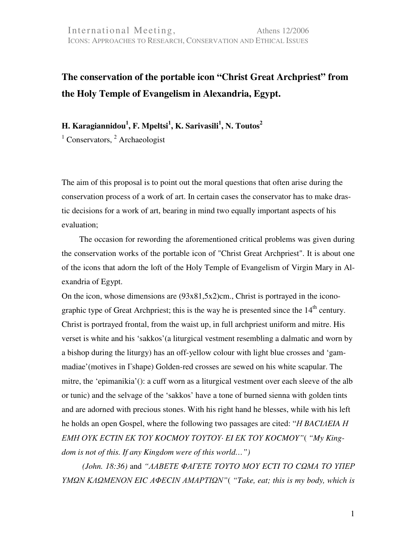## **The conservation of the portable icon "Christ Great Archpriest" from the Holy Temple of Evangelism in Alexandria, Egypt.**

**H. Karagiannidou<sup>1</sup> , F. Mpeltsi<sup>1</sup> ,** Κ**. Sarivasili<sup>1</sup> ,** Ν**. Toutos<sup>2</sup>**

<sup>1</sup> Conservators, <sup>2</sup> Archaeologist

The aim of this proposal is to point out the moral questions that often arise during the conservation process of a work of art. In certain cases the conservator has to make drastic decisions for a work of art, bearing in mind two equally important aspects of his evaluation;

The occasion for rewording the aforementioned critical problems was given during the conservation works of the portable icon of "Christ Great Archpriest". It is about one of the icons that adorn the loft of the Holy Temple of Evangelism of Virgin Mary in Alexandria of Egypt.

On the icon, whose dimensions are (93x81,5x2)cm., Christ is portrayed in the iconographic type of Great Archpriest; this is the way he is presented since the  $14<sup>th</sup>$  century. Christ is portrayed frontal, from the waist up, in full archpriest uniform and mitre. His verset is white and his 'sakkos'(a liturgical vestment resembling a dalmatic and worn by a bishop during the liturgy) has an off-yellow colour with light blue crosses and 'gammadiae'(motives in Γshape) Golden-red crosses are sewed on his white scapular. The mitre, the 'epimanikia'(): a cuff worn as a liturgical vestment over each sleeve of the alb or tunic) and the selvage of the 'sakkos' have a tone of burned sienna with golden tints and are adorned with precious stones. With his right hand he blesses, while with his left he holds an open Gospel, where the following two passages are cited: "Η *BACI*Λ*EIA* Η ΕΜΗ ΟΥΚ Ε*CTIN* ΕΚ ΤΟΥ *KOCMOY* ΤΟΥΤΟΥ*· EI* ΕΚ ΤΟΥ *KOCMOY"*( *"My Kingdom is not of this. If any Kingdom were of this world…")*

 *(John. 18:36)* and *"*ΛΑΒΕΤΕ ΦΑΓΕΤΕ ΤΟΥΤΟ ΜΟΥ *ECTI* ΤΟ *C*ΩΜΑ ΤΟ ΥΠΕΡ ΥΜΩΝ ΚΛΩΜΕΝΟΝ *EIC* ΑΦΕ*C*ΙΝ ΑΜΑΡΤΙΩΝ*"*( *"Take, eat; this is my body, which is*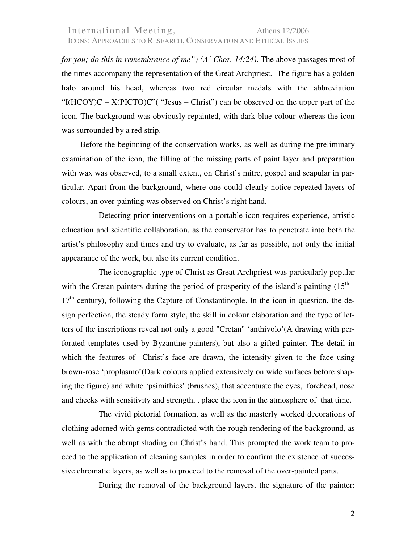*for you; do this in remembrance of me") (*Α΄ *Chor. 14:24)*. The above passages most of the times accompany the representation of the Great Archpriest*.* The figure has a golden halo around his head, whereas two red circular medals with the abbreviation "I(HCOY)C –  $X(PICTO)C"$  ("Jesus – Christ") can be observed on the upper part of the icon. The background was obviously repainted, with dark blue colour whereas the icon was surrounded by a red strip.

Before the beginning of the conservation works, as well as during the preliminary examination of the icon, the filling of the missing parts of paint layer and preparation with wax was observed, to a small extent, on Christ's mitre, gospel and scapular in particular. Apart from the background, where one could clearly notice repeated layers of colours, an over-painting was observed on Christ's right hand.

Detecting prior interventions on a portable icon requires experience, artistic education and scientific collaboration, as the conservator has to penetrate into both the artist's philosophy and times and try to evaluate, as far as possible, not only the initial appearance of the work, but also its current condition.

The iconographic type of Christ as Great Archpriest was particularly popular with the Cretan painters during the period of prosperity of the island's painting  $(15<sup>th</sup> 17<sup>th</sup>$  century), following the Capture of Constantinople. In the icon in question, the design perfection, the steady form style, the skill in colour elaboration and the type of letters of the inscriptions reveal not only a good "Cretan" 'anthivolo'(A drawing with perforated templates used by Byzantine painters), but also a gifted painter. The detail in which the features of Christ's face are drawn, the intensity given to the face using brown-rose 'proplasmo'(Dark colours applied extensively on wide surfaces before shaping the figure) and white 'psimithies' (brushes), that accentuate the eyes, forehead, nose and cheeks with sensitivity and strength, , place the icon in the atmosphere of that time.

The vivid pictorial formation, as well as the masterly worked decorations of clothing adorned with gems contradicted with the rough rendering of the background, as well as with the abrupt shading on Christ's hand. This prompted the work team to proceed to the application of cleaning samples in order to confirm the existence of successive chromatic layers, as well as to proceed to the removal of the over-painted parts.

During the removal of the background layers, the signature of the painter: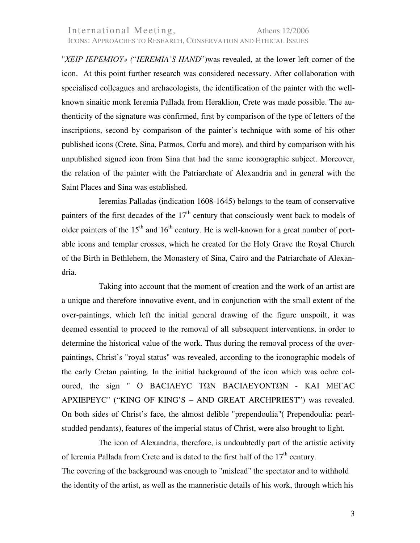## International Meeting, Athens 12/2006 ICONS: APPROACHES TO RESEARCH, CONSERVATION AND ETHICAL ISSUES

"ΧΕΙΡ ΙΕΡΕΜΙΟΥ*» (*"*IEREMIA'S HAND*")was revealed, at the lower left corner of the icon. At this point further research was considered necessary. After collaboration with specialised colleagues and archaeologists, the identification of the painter with the wellknown sinaitic monk Ieremia Pallada from Heraklion, Crete was made possible. The authenticity of the signature was confirmed, first by comparison of the type of letters of the inscriptions, second by comparison of the painter's technique with some of his other published icons (Crete, Sina, Patmos, Corfu and more), and third by comparison with his unpublished signed icon from Sina that had the same iconographic subject. Moreover, the relation of the painter with the Patriarchate of Alexandria and in general with the Saint Places and Sina was established.

Ieremias Palladas (indication 1608-1645) belongs to the team of conservative painters of the first decades of the  $17<sup>th</sup>$  century that consciously went back to models of older painters of the  $15<sup>th</sup>$  and  $16<sup>th</sup>$  century. He is well-known for a great number of portable icons and templar crosses, which he created for the Holy Grave the Royal Church of the Birth in Bethlehem, the Monastery of Sina, Cairo and the Patriarchate of Alexandria.

Taking into account that the moment of creation and the work of an artist are a unique and therefore innovative event, and in conjunction with the small extent of the over-paintings, which left the initial general drawing of the figure unspoilt, it was deemed essential to proceed to the removal of all subsequent interventions, in order to determine the historical value of the work. Thus during the removal process of the overpaintings, Christ's "royal status" was revealed, according to the iconographic models of the early Cretan painting. In the initial background of the icon which was ochre coloured, the sign " Ο BACIΛEΥC ΤΩΝ BACIΛEΥONTΩN - ΚΑΙ ΜΕΓAC APXIEPEΥC" ("KING OF KING'S – AND GREAT ARCHPRIEST") was revealed. On both sides of Christ's face, the almost delible "prependoulia"( Prependoulia: pearlstudded pendants), features of the imperial status of Christ, were also brought to light.

The icon of Alexandria, therefore, is undoubtedly part of the artistic activity of Ieremia Pallada from Crete and is dated to the first half of the  $17<sup>th</sup>$  century. The covering of the background was enough to "mislead" the spectator and to withhold the identity of the artist, as well as the manneristic details of his work, through which his